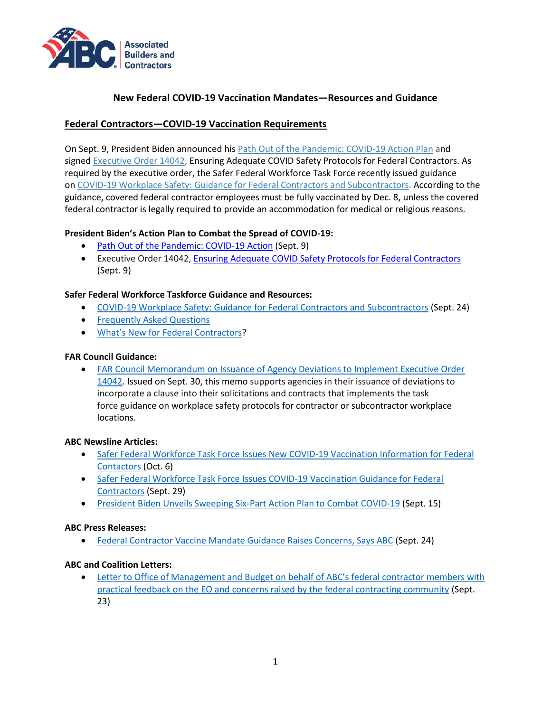

## **New Federal COVID-19 Vaccination Mandates—Resources and Guidance**

## **Federal Contractors—COVID-19 Vaccination Requirements**

On Sept. 9, President Biden announced his Path Out of the [Pandemic:](https://www.whitehouse.gov/covidplan/) COVID-19 Action Plan and signed [Executive](https://www.whitehouse.gov/briefing-room/presidential-actions/2021/09/09/executive-order-on-ensuring-adequate-covid-safety-protocols-for-federal-contractors/) Order 14042, Ensuring Adequate COVID Safety Protocols for Federal Contractors. As required by the executive order, the Safer Federal Workforce Task Force recently issued guidance on COVID-19 Workplace Safety: Guidance for Federal Contractors and [Subcontractors.](https://www.saferfederalworkforce.gov/downloads/Draft%20contractor%20guidance%20doc_20210922.pdf) According to the guidance, covered federal contractor employees must be fully vaccinated by Dec. 8, unless the covered federal contractor is legally required to provide an accommodation for medical or religious reasons.

### **President Biden's Action Plan to Combat the Spread of COVID-19:**

- [Path Out of the Pandemic: COVID-19 Action](https://www.whitehouse.gov/covidplan/) (Sept. 9)
- Executive Order 14042, [Ensuring Adequate COVID Safety Protocols for Federal Contractors](https://www.whitehouse.gov/briefing-room/presidential-actions/2021/09/09/executive-order-on-ensuring-adequate-covid-safety-protocols-for-federal-contractors/) (Sept. 9)

#### **Safer Federal Workforce Taskforce Guidance and Resources:**

- [COVID-19 Workplace Safety: Guidance for Federal Contractors and Subcontractors](https://www.saferfederalworkforce.gov/downloads/Draft%20contractor%20guidance%20doc_20210922.pdf) (Sept. 24)
- [Frequently Asked Questions](https://www.saferfederalworkforce.gov/faq/contractors/)
- [What's New for Federal Contractors](https://www.saferfederalworkforce.gov/contractors/)?

#### **FAR Council Guidance:**

• [FAR Council Memorandum on Issuance of Agency Deviations to Implement Executive Order](https://www.whitehouse.gov/wp-content/uploads/2021/09/FAR-Council-Guidance-on-Agency-Issuance-of-Deviations-to-Implement-EO-14042.pdf)  [14042.](https://www.whitehouse.gov/wp-content/uploads/2021/09/FAR-Council-Guidance-on-Agency-Issuance-of-Deviations-to-Implement-EO-14042.pdf) Issued on Sept. 30, this memo supports agencies in their issuance of deviations to incorporate a clause into their solicitations and contracts that implements the task force guidance on workplace safety protocols for contractor or subcontractor workplace locations.

#### **ABC Newsline Articles:**

- Safer Federal Workforce Task Force Issues New COVID-19 Vaccination Information for Federal [Contactors](https://abc.org/News-Media/Newsline/entryid/19035/safer-federal-workforce-task-force-issues-new-covid-19-vaccination-information-for-federal-contactors) (Oct. 6)
- [Safer Federal Workforce Task Force Issues COVID-19 Vaccination Guidance for Federal](https://abc.org/News-Media/Newsline/entryid/19019/safer-federal-workforce-task-force-issues-covid-19-vaccination-guidance-for-federal-contractors)  [Contractors](https://abc.org/News-Media/Newsline/entryid/19019/safer-federal-workforce-task-force-issues-covid-19-vaccination-guidance-for-federal-contractors) (Sept. 29)
- [President Biden Unveils Sweeping Six-Part Action Plan to Combat COVID-19](https://abc.org/News-Media/Newsline/entryid/18987/president-biden-unveils-sweeping-six-part-action-plan-to-combat-covid-19) (Sept. 15)

### **ABC Press Releases:**

• [Federal Contractor Vaccine Mandate Guidance Raises Concerns, Says ABC](https://abc.org/News-Media/News-Releases/entryid/19007/federal-contractor-vaccine-mandate-guidance-raises-concerns-says-abc) (Sept. 24)

### **ABC and Coalition Letters:**

Letter to Office of Management and Budget on behalf of ABC's federal contractor members with [practical feedback on the EO and concerns raised by the federal contracting community](https://www.abc.org/Portals/1/2021%20Files/ABC%20Letter%20to%20OMB%20and%20FAR%20Council%20on%20COVID%20EO%20092321.pdf?ver=2021-09-24-132540-353) (Sept. 23)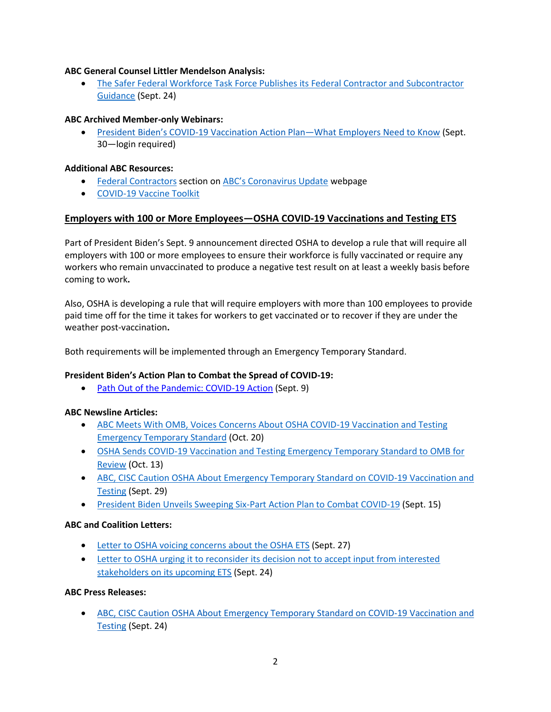## **ABC General Counsel Littler Mendelson Analysis:**

• [The Safer Federal Workforce Task Force Publishes its Federal Contractor and Subcontractor](https://www.littler.com/publication-press/publication/safer-federal-workforce-task-force-publishes-its-federal-contractor)  [Guidance](https://www.littler.com/publication-press/publication/safer-federal-workforce-task-force-publishes-its-federal-contractor) (Sept. 24)

### **ABC Archived Member-only Webinars:**

• President Biden's COVID-19 [Vaccination](https://abc.org/academy/entryid/19022/Default) Action Plan—What Employers Need to Know (Sept. 30—login required)

## **Additional ABC Resources:**

- [Federal Contractors](https://abc.org/Coronavirus/Federal-Contractors3) section on [ABC's Coronavirus Update](https://www.abc.org/coronavirus) webpage
- [COVID-19 Vaccine Toolkit](https://www.abc.org/Coronavirus/Vaccine-Toolkit)

## **Employers with 100 or More Employees—OSHA COVID-19 Vaccinations and Testing ETS**

Part of President Biden's Sept. 9 announcement directed OSHA to develop a rule that will require all employers with 100 or more employees to ensure their workforce is fully vaccinated or require any workers who remain unvaccinated to produce a negative test result on at least a weekly basis before coming to work**.** 

Also, OSHA is developing a rule that will require employers with more than 100 employees to provide paid time off for the time it takes for workers to get vaccinated or to recover if they are under the weather post-vaccination**.** 

Both requirements will be implemented through an Emergency Temporary Standard.

### **President Biden's Action Plan to Combat the Spread of COVID-19:**

• [Path Out of the Pandemic: COVID-19 Action](https://www.whitehouse.gov/covidplan/) (Sept. 9)

### **ABC Newsline Articles:**

- [ABC Meets With OMB, Voices Concerns About OSHA COVID-19 Vaccination and Testing](https://abc.org/News-Media/Newsline/entryid/19061/abc-meets-with-omb-voices-concerns-about-osha-covid-19-vaccination-and-testing-emergency-temporary-standard)  [Emergency Temporary Standard](https://abc.org/News-Media/Newsline/entryid/19061/abc-meets-with-omb-voices-concerns-about-osha-covid-19-vaccination-and-testing-emergency-temporary-standard) (Oct. 20)
- [OSHA Sends COVID-19 Vaccination and Testing Emergency Temporary Standard to OMB for](https://abc.org/News-Media/Newsline/entryid/19045/osha-sends-covid-19-vaccination-and-testing-emergency-temporary-standard-to-omb-for-review)  [Review](https://abc.org/News-Media/Newsline/entryid/19045/osha-sends-covid-19-vaccination-and-testing-emergency-temporary-standard-to-omb-for-review) (Oct. 13)
- ABC, CISC Caution OSHA About Emergency Temporary Standard on COVID-19 Vaccination and [Testing](https://abc.org/News-Media/Newsline/entryid/19018/abc-cisc-caution-osha-about-emergency-temporary-standard-on-covid-19-vaccination-and-testing) (Sept. 29)
- [President Biden Unveils Sweeping Six-Part Action Plan to Combat COVID-19](https://abc.org/News-Media/Newsline/entryid/18987/president-biden-unveils-sweeping-six-part-action-plan-to-combat-covid-19) (Sept. 15)

### **ABC and Coalition Letters:**

- [Letter to OSHA voicing concerns about the OSHA](https://www.abc.org/Portals/1/Documents/CISC%20Comments%20on%20Upcoming%20ETS%209.27.2021.pdf?ver=2021-09-27-171702-383) ETS (Sept. 27)
- [Letter to OSHA urging it to reconsider its decision not to accept input from interested](https://www.abc.org/Portals/1/2021%20Files/Government%20Affairs/Regulatory/Letter_OSHA_ETS_Sept%202021.pdf?ver=2021-09-27-143828-303)  [stakeholders on its upcoming ETS](https://www.abc.org/Portals/1/2021%20Files/Government%20Affairs/Regulatory/Letter_OSHA_ETS_Sept%202021.pdf?ver=2021-09-27-143828-303) (Sept. 24)

### **ABC Press Releases:**

• ABC, CISC Caution OSHA About Emergency Temporary Standard on COVID-19 [Vaccination](https://www.abc.org/News-Media/News-Releases/entryid/19011/abc-cisc-caution-osha-about-emergency-temporary-standard-on-covid-19-vaccination-and-testing) and [Testing](https://www.abc.org/News-Media/News-Releases/entryid/19011/abc-cisc-caution-osha-about-emergency-temporary-standard-on-covid-19-vaccination-and-testing) (Sept. 24)